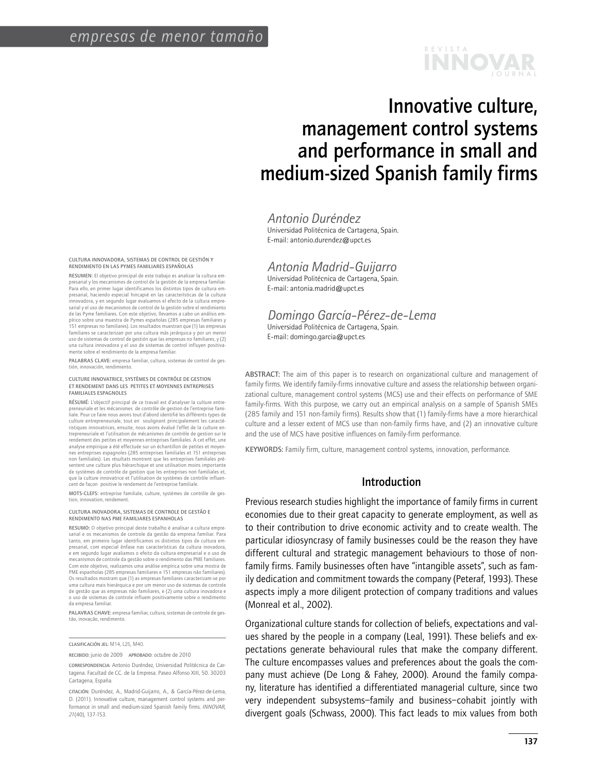# j o u r n a l r e v i s t a **innovar**

# Innovative culture, management control systems and performance in small and medium-sized Spanish family firms

*Antonio Duréndez*

Universidad Politécnica de Cartagena, Spain. E-mail: antonio.durendez@upct.es

# *Antonia Madrid-Guijarro*

Universidad Politécnica de Cartagena, Spain. E-mail: antonia.madrid@upct.es

#### *Domingo García-Pérez-de-Lema* Universidad Politécnica de Cartagena, Spain. E-mail: domingo.garcia@upct.es

ABSTRACT: The aim of this paper is to research on organizational culture and management of family firms. We identify family-firms innovative culture and assess the relationship between organizational culture, management control systems (MCS) use and their effects on performance of SME family-firms. With this purpose, we carry out an empirical analysis on a sample of Spanish SMEs (285 family and 151 non-family firms). Results show that (1) family-firms have a more hierarchical culture and a lesser extent of MCS use than non-family firms have, and (2) an innovative culture and the use of MCS have positive influences on family-firm performance.

KEYWORDS: Family firm, culture, management control systems, innovation, performance.

# Introduction

Previous research studies highlight the importance of family firms in current economies due to their great capacity to generate employment, as well as to their contribution to drive economic activity and to create wealth. The particular idiosyncrasy of family businesses could be the reason they have different cultural and strategic management behaviours to those of nonfamily firms. Family businesses often have "intangible assets", such as family dedication and commitment towards the company (Peteraf, 1993). These aspects imply a more diligent protection of company traditions and values (Monreal et al., 2002).

Organizational culture stands for collection of beliefs, expectations and values shared by the people in a company (Leal, 1991). These beliefs and expectations generate behavioural rules that make the company different. The culture encompasses values and preferences about the goals the company must achieve (De Long & Fahey, 2000). Around the family company, literature has identified a differentiated managerial culture, since two very independent subsystems–family and business–cohabit jointly with divergent goals (Schwass, 2000). This fact leads to mix values from both

Cultura innovadora, sistemas de control de gestión y rendimiento en las Pymes familiares españolas

Resumen: El objetivo principal de este trabajo es analizar la cultura empresarial y los mecanismos de control de la gestión de la empresa familiar. Para ello, en primer lugar identificamos los distintos tipos de cultura empresarial, haciendo especial hincapié en las características de la cultura innovadora, y en segundo lugar evaluamos el efecto de la cultura empresarial y el uso de mecanismos de control de la gestión sobre el rendimiento de las Pyme familiares. Con este objetivo, llevamos a cabo un análisis empírico sobre una muestra de Pymes españolas (285 empresas familiares y 151 empresas no familiares). Los resultados muestran que (1) las empresas familiares se caracterizan por una cultura más jerárquica y por un menor uso de sistemas de control de gestión que las empresas no familiares, y (2) una cultura innovadora y el uso de sistemas de control influyen positivamente sobre el rendimiento de la empresa familiar.

Palabras clave: empresa familiar, cultura, sistemas de control de gestión, innovación, rendimiento.

#### Culture innovatrice, systèmes de contrôle de gestion et rendement dans les petites et moyennes entreprises familiales espagnoles

Résumé: L'objectif principal de ce travail est d'analyser la culture entrepreneuriale et les mécanismes de contrôle de gestion de l'entreprise familiale. Pour ce faire nous avons tout d'abord identifié les différents types de culture entrepreneuriale, tout en soulignant principalement les caractéristiques innovatrices, ensuite, nous avons évalué l'effet de la culture entrepreneuriale et l'utilisation de mécanismes de contrôle de gestion sur le rendement des petites et moyennes entreprises familiales. A cet effet, une analyse empirique a été effectuée sur un échantillon de petites et moyennes entreprises espagnoles (285 entreprises familiales et 151 entreprises non familiales). Les résultats montrent que les entreprises familiales présentent une culture plus hiérarchique et une utilisation moins importante de systèmes de contrôle de gestion que les entreprises non familiales et, que la culture innovatrice et l'utilisation de systèmes de contrôle influer cent de façon positive le rendement de l'entreprise familiale.

MOTS-CLEFS: entreprise familiale, culture, systèmes de contrôle de gestion, innovation, rendement.

#### Cultura inovadora, sistemas de controle de gestão e rendimento nas PME familiares espanholas

Resumo: O objetivo principal deste trabalho é analisar a cultura empresarial e os mecanismos de controle da gestão da empresa familiar. Para tanto, em primeiro lugar identificamos os distintos tipos de cultura empresarial, com especial ênfase nas características da cultura inovadora, e em segundo lugar avaliamos o efeito da cultura empresarial e o uso de mecanismos de controle da gestão sobre o rendimento das PME familiares. Com este objetivo, realizamos uma análise empírica sobre uma mostra de PME espanholas (285 empresas familiares e 151 empresas não familiares). Os resultados mostram que (1) as empresas familiares caracterizam-se por uma cultura mais hierárquica e por um menor uso de sistemas de controle de gestão que as empresas não familiares, e (2) uma cultura inovadora e o uso de sistemas de controle influem positivamente sobre o rendimento da empresa familiar.

PALAVRAS CHAVE: empresa familiar, cultura, sistemas de controle de gestão, inovação, rendimento.

Recibido: junio de 2009 Aprobado: octubre de 2010

Clasificación JEL: M14, L25, M40.

Correspondencia: Antonio Duréndez, Universidad Politécnica de Cartagena. Facultad de CC. de la Empresa. Paseo Alfonso XIII, 50. 30203 Cartagena, España.

Citación: Duréndez, A., Madrid-Guijarro, A., & García-Pérez-de-Lema, D. (2011). Innovative culture, management control systems and performance in small and medium-sized Spanish family firms. *INNOVAR*, *21*(40), 137-153.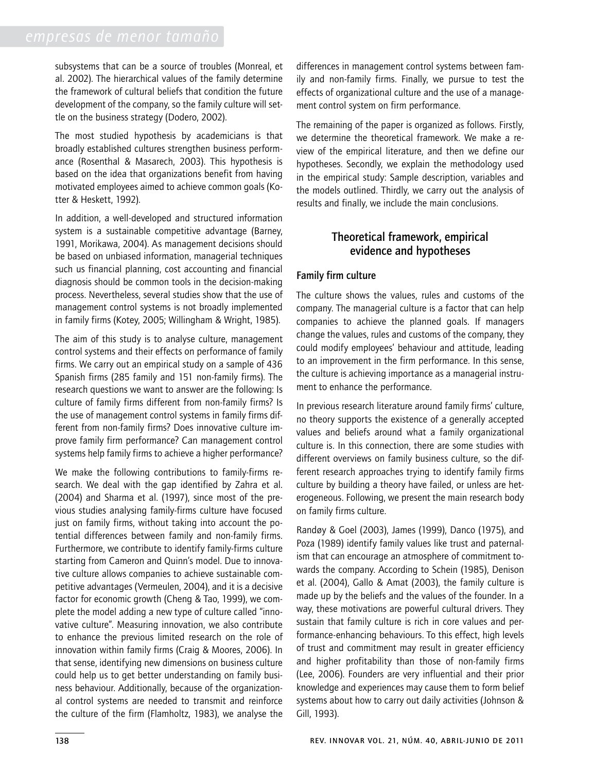subsystems that can be a source of troubles (Monreal, et al. 2002). The hierarchical values of the family determine the framework of cultural beliefs that condition the future development of the company, so the family culture will settle on the business strategy (Dodero, 2002).

The most studied hypothesis by academicians is that broadly established cultures strengthen business performance (Rosenthal & Masarech, 2003). This hypothesis is based on the idea that organizations benefit from having motivated employees aimed to achieve common goals (Kotter & Heskett, 1992).

In addition, a well-developed and structured information system is a sustainable competitive advantage (Barney, 1991, Morikawa, 2004). As management decisions should be based on unbiased information, managerial techniques such us financial planning, cost accounting and financial diagnosis should be common tools in the decision-making process. Nevertheless, several studies show that the use of management control systems is not broadly implemented in family firms (Kotey, 2005; Willingham & Wright, 1985).

The aim of this study is to analyse culture, management control systems and their effects on performance of family firms. We carry out an empirical study on a sample of 436 Spanish firms (285 family and 151 non-family firms). The research questions we want to answer are the following: Is culture of family firms different from non-family firms? Is the use of management control systems in family firms different from non-family firms? Does innovative culture improve family firm performance? Can management control systems help family firms to achieve a higher performance?

We make the following contributions to family-firms research. We deal with the gap identified by Zahra et al. (2004) and Sharma et al. (1997), since most of the previous studies analysing family-firms culture have focused just on family firms, without taking into account the potential differences between family and non-family firms. Furthermore, we contribute to identify family-firms culture starting from Cameron and Quinn's model. Due to innovative culture allows companies to achieve sustainable competitive advantages (Vermeulen, 2004), and it is a decisive factor for economic growth (Cheng & Tao, 1999), we complete the model adding a new type of culture called "innovative culture". Measuring innovation, we also contribute to enhance the previous limited research on the role of innovation within family firms (Craig & Moores, 2006). In that sense, identifying new dimensions on business culture could help us to get better understanding on family business behaviour. Additionally, because of the organizational control systems are needed to transmit and reinforce the culture of the firm (Flamholtz, 1983), we analyse the

differences in management control systems between family and non-family firms. Finally, we pursue to test the effects of organizational culture and the use of a management control system on firm performance.

The remaining of the paper is organized as follows. Firstly, we determine the theoretical framework. We make a review of the empirical literature, and then we define our hypotheses. Secondly, we explain the methodology used in the empirical study: Sample description, variables and the models outlined. Thirdly, we carry out the analysis of results and finally, we include the main conclusions.

# Theoretical framework, empirical evidence and hypotheses

# Family firm culture

The culture shows the values, rules and customs of the company. The managerial culture is a factor that can help companies to achieve the planned goals. If managers change the values, rules and customs of the company, they could modify employees' behaviour and attitude, leading to an improvement in the firm performance. In this sense, the culture is achieving importance as a managerial instrument to enhance the performance.

In previous research literature around family firms' culture, no theory supports the existence of a generally accepted values and beliefs around what a family organizational culture is. In this connection, there are some studies with different overviews on family business culture, so the different research approaches trying to identify family firms culture by building a theory have failed, or unless are heterogeneous. Following, we present the main research body on family firms culture.

Randøy & Goel (2003), James (1999), Danco (1975), and Poza (1989) identify family values like trust and paternalism that can encourage an atmosphere of commitment towards the company. According to Schein (1985), Denison et al. (2004), Gallo & Amat (2003), the family culture is made up by the beliefs and the values of the founder. In a way, these motivations are powerful cultural drivers. They sustain that family culture is rich in core values and performance-enhancing behaviours. To this effect, high levels of trust and commitment may result in greater efficiency and higher profitability than those of non-family firms (Lee, 2006). Founders are very influential and their prior knowledge and experiences may cause them to form belief systems about how to carry out daily activities (Johnson & Gill, 1993).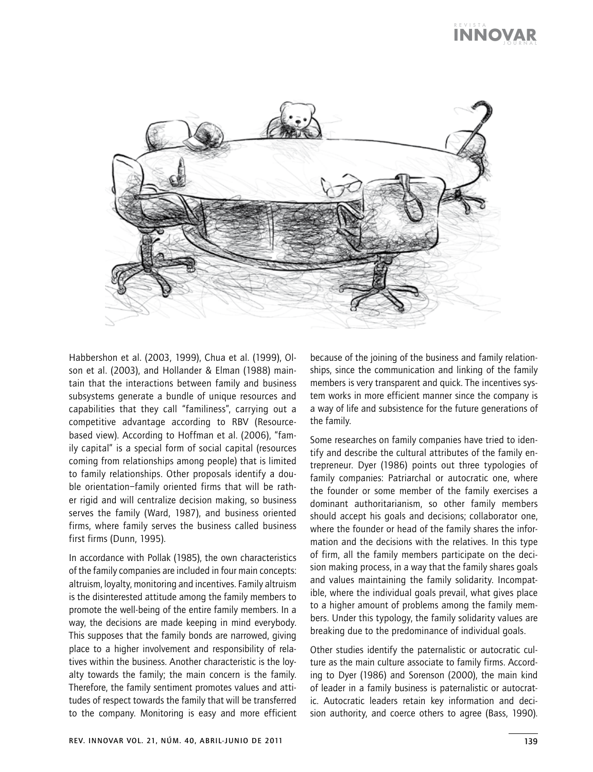#### j o u r n a l r e v i s t a **innovar**



Habbershon et al. (2003, 1999), Chua et al. (1999), Olson et al. (2003), and Hollander & Elman (1988) maintain that the interactions between family and business subsystems generate a bundle of unique resources and capabilities that they call "familiness", carrying out a competitive advantage according to RBV (Resourcebased view). According to Hoffman et al. (2006), "family capital" is a special form of social capital (resources coming from relationships among people) that is limited to family relationships. Other proposals identify a double orientation–family oriented firms that will be rather rigid and will centralize decision making, so business serves the family (Ward, 1987), and business oriented firms, where family serves the business called business first firms (Dunn, 1995).

In accordance with Pollak (1985), the own characteristics of the family companies are included in four main concepts: altruism, loyalty, monitoring and incentives. Family altruism is the disinterested attitude among the family members to promote the well-being of the entire family members. In a way, the decisions are made keeping in mind everybody. This supposes that the family bonds are narrowed, giving place to a higher involvement and responsibility of relatives within the business. Another characteristic is the loyalty towards the family; the main concern is the family. Therefore, the family sentiment promotes values and attitudes of respect towards the family that will be transferred to the company. Monitoring is easy and more efficient because of the joining of the business and family relationships, since the communication and linking of the family members is very transparent and quick. The incentives system works in more efficient manner since the company is a way of life and subsistence for the future generations of the family.

Some researches on family companies have tried to identify and describe the cultural attributes of the family entrepreneur. Dyer (1986) points out three typologies of family companies: Patriarchal or autocratic one, where the founder or some member of the family exercises a dominant authoritarianism, so other family members should accept his goals and decisions; collaborator one, where the founder or head of the family shares the information and the decisions with the relatives. In this type of firm, all the family members participate on the decision making process, in a way that the family shares goals and values maintaining the family solidarity. Incompatible, where the individual goals prevail, what gives place to a higher amount of problems among the family members. Under this typology, the family solidarity values are breaking due to the predominance of individual goals.

Other studies identify the paternalistic or autocratic culture as the main culture associate to family firms. According to Dyer (1986) and Sorenson (2000), the main kind of leader in a family business is paternalistic or autocratic. Autocratic leaders retain key information and decision authority, and coerce others to agree (Bass, 1990).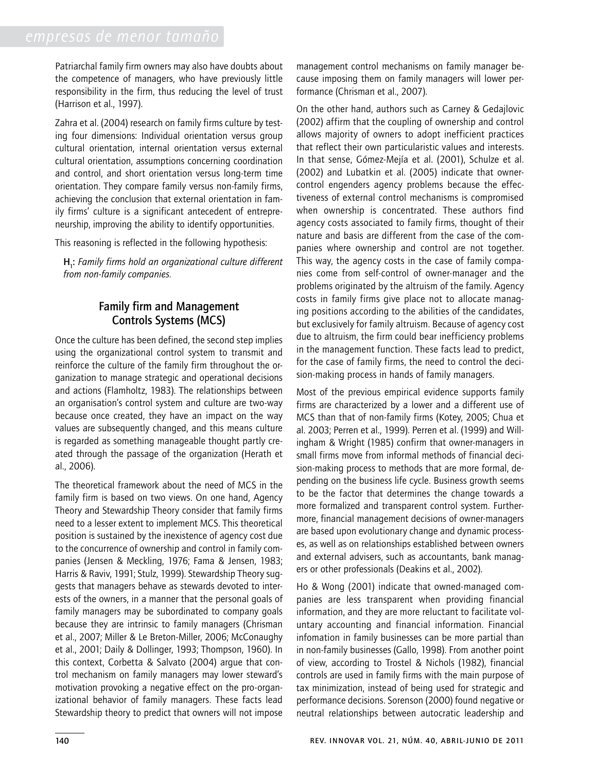Patriarchal family firm owners may also have doubts about the competence of managers, who have previously little responsibility in the firm, thus reducing the level of trust (Harrison et al., 1997).

Zahra et al. (2004) research on family firms culture by testing four dimensions: Individual orientation versus group cultural orientation, internal orientation versus external cultural orientation, assumptions concerning coordination and control, and short orientation versus long-term time orientation. They compare family versus non-family firms, achieving the conclusion that external orientation in family firms' culture is a significant antecedent of entrepreneurship, improving the ability to identify opportunities.

This reasoning is reflected in the following hypothesis:

H1 : *Family firms hold an organizational culture different from non-family companies.* 

# Family firm and Management Controls Systems (MCS)

Once the culture has been defined, the second step implies using the organizational control system to transmit and reinforce the culture of the family firm throughout the organization to manage strategic and operational decisions and actions (Flamholtz, 1983). The relationships between an organisation's control system and culture are two-way because once created, they have an impact on the way values are subsequently changed, and this means culture is regarded as something manageable thought partly created through the passage of the organization (Herath et al., 2006).

The theoretical framework about the need of MCS in the family firm is based on two views. On one hand, Agency Theory and Stewardship Theory consider that family firms need to a lesser extent to implement MCS. This theoretical position is sustained by the inexistence of agency cost due to the concurrence of ownership and control in family companies (Jensen & Meckling, 1976; Fama & Jensen, 1983; Harris & Raviv, 1991; Stulz, 1999). Stewardship Theory suggests that managers behave as stewards devoted to interests of the owners, in a manner that the personal goals of family managers may be subordinated to company goals because they are intrinsic to family managers (Chrisman et al., 2007; Miller & Le Breton-Miller, 2006; McConaughy et al., 2001; Daily & Dollinger, 1993; Thompson, 1960). In this context, Corbetta & Salvato (2004) argue that control mechanism on family managers may lower steward's motivation provoking a negative effect on the pro-organizational behavior of family managers. These facts lead Stewardship theory to predict that owners will not impose

management control mechanisms on family manager because imposing them on family managers will lower performance (Chrisman et al., 2007).

On the other hand, authors such as Carney & Gedajlovic (2002) affirm that the coupling of ownership and control allows majority of owners to adopt inefficient practices that reflect their own particularistic values and interests. In that sense, Gómez-Mejía et al. (2001), Schulze et al. (2002) and Lubatkin et al. (2005) indicate that ownercontrol engenders agency problems because the effectiveness of external control mechanisms is compromised when ownership is concentrated. These authors find agency costs associated to family firms, thought of their nature and basis are different from the case of the companies where ownership and control are not together. This way, the agency costs in the case of family companies come from self-control of owner-manager and the problems originated by the altruism of the family. Agency costs in family firms give place not to allocate managing positions according to the abilities of the candidates, but exclusively for family altruism. Because of agency cost due to altruism, the firm could bear inefficiency problems in the management function. These facts lead to predict, for the case of family firms, the need to control the decision-making process in hands of family managers.

Most of the previous empirical evidence supports family firms are characterized by a lower and a different use of MCS than that of non-family firms (Kotey, 2005; Chua et al. 2003; Perren et al., 1999). Perren et al. (1999) and Willingham & Wright (1985) confirm that owner-managers in small firms move from informal methods of financial decision-making process to methods that are more formal, depending on the business life cycle. Business growth seems to be the factor that determines the change towards a more formalized and transparent control system. Furthermore, financial management decisions of owner-managers are based upon evolutionary change and dynamic processes, as well as on relationships established between owners and external advisers, such as accountants, bank managers or other professionals (Deakins et al., 2002).

Ho & Wong (2001) indicate that owned-managed companies are less transparent when providing financial information, and they are more reluctant to facilitate voluntary accounting and financial information. Financial infomation in family businesses can be more partial than in non-family businesses (Gallo, 1998). From another point of view, according to Trostel & Nichols (1982), financial controls are used in family firms with the main purpose of tax minimization, instead of being used for strategic and performance decisions. Sorenson (2000) found negative or neutral relationships between autocratic leadership and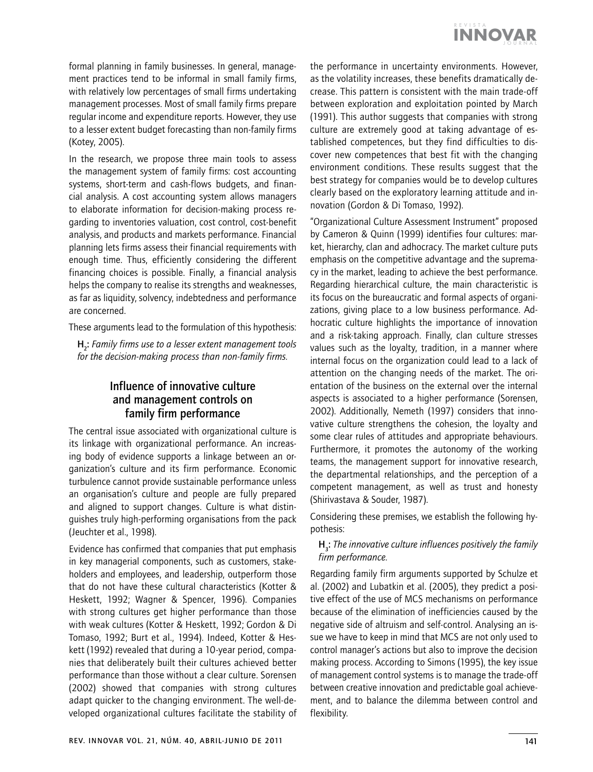

formal planning in family businesses. In general, management practices tend to be informal in small family firms, with relatively low percentages of small firms undertaking management processes. Most of small family firms prepare regular income and expenditure reports. However, they use to a lesser extent budget forecasting than non-family firms (Kotey, 2005).

In the research, we propose three main tools to assess the management system of family firms: cost accounting systems, short-term and cash-flows budgets, and financial analysis. A cost accounting system allows managers to elaborate information for decision-making process regarding to inventories valuation, cost control, cost-benefit analysis, and products and markets performance. Financial planning lets firms assess their financial requirements with enough time. Thus, efficiently considering the different financing choices is possible. Finally, a financial analysis helps the company to realise its strengths and weaknesses, as far as liquidity, solvency, indebtedness and performance are concerned.

These arguments lead to the formulation of this hypothesis:

H2 : *Family firms use to a lesser extent management tools for the decision-making process than non-family firms.*

# Influence of innovative culture and management controls on family firm performance

The central issue associated with organizational culture is its linkage with organizational performance. An increasing body of evidence supports a linkage between an organization's culture and its firm performance. Economic turbulence cannot provide sustainable performance unless an organisation's culture and people are fully prepared and aligned to support changes. Culture is what distinguishes truly high-performing organisations from the pack (Jeuchter et al., 1998).

Evidence has confirmed that companies that put emphasis in key managerial components, such as customers, stakeholders and employees, and leadership, outperform those that do not have these cultural characteristics (Kotter & Heskett, 1992; Wagner & Spencer, 1996). Companies with strong cultures get higher performance than those with weak cultures (Kotter & Heskett, 1992; Gordon & Di Tomaso, 1992; Burt et al., 1994). Indeed, Kotter & Heskett (1992) revealed that during a 10-year period, companies that deliberately built their cultures achieved better performance than those without a clear culture. Sorensen (2002) showed that companies with strong cultures adapt quicker to the changing environment. The well-developed organizational cultures facilitate the stability of the performance in uncertainty environments. However, as the volatility increases, these benefits dramatically decrease. This pattern is consistent with the main trade-off between exploration and exploitation pointed by March (1991). This author suggests that companies with strong culture are extremely good at taking advantage of established competences, but they find difficulties to discover new competences that best fit with the changing environment conditions. These results suggest that the best strategy for companies would be to develop cultures clearly based on the exploratory learning attitude and innovation (Gordon & Di Tomaso, 1992).

"Organizational Culture Assessment Instrument" proposed by Cameron & Quinn (1999) identifies four cultures: market, hierarchy, clan and adhocracy. The market culture puts emphasis on the competitive advantage and the supremacy in the market, leading to achieve the best performance. Regarding hierarchical culture, the main characteristic is its focus on the bureaucratic and formal aspects of organizations, giving place to a low business performance. Adhocratic culture highlights the importance of innovation and a risk-taking approach. Finally, clan culture stresses values such as the loyalty, tradition, in a manner where internal focus on the organization could lead to a lack of attention on the changing needs of the market. The orientation of the business on the external over the internal aspects is associated to a higher performance (Sorensen, 2002). Additionally, Nemeth (1997) considers that innovative culture strengthens the cohesion, the loyalty and some clear rules of attitudes and appropriate behaviours. Furthermore, it promotes the autonomy of the working teams, the management support for innovative research, the departmental relationships, and the perception of a competent management, as well as trust and honesty (Shirivastava & Souder, 1987).

Considering these premises, we establish the following hypothesis:

# H<sub>3</sub>: The innovative culture influences positively the family *firm performance.*

Regarding family firm arguments supported by Schulze et al. (2002) and Lubatkin et al. (2005), they predict a positive effect of the use of MCS mechanisms on performance because of the elimination of inefficiencies caused by the negative side of altruism and self-control. Analysing an issue we have to keep in mind that MCS are not only used to control manager's actions but also to improve the decision making process. According to Simons (1995), the key issue of management control systems is to manage the trade-off between creative innovation and predictable goal achievement, and to balance the dilemma between control and flexibility.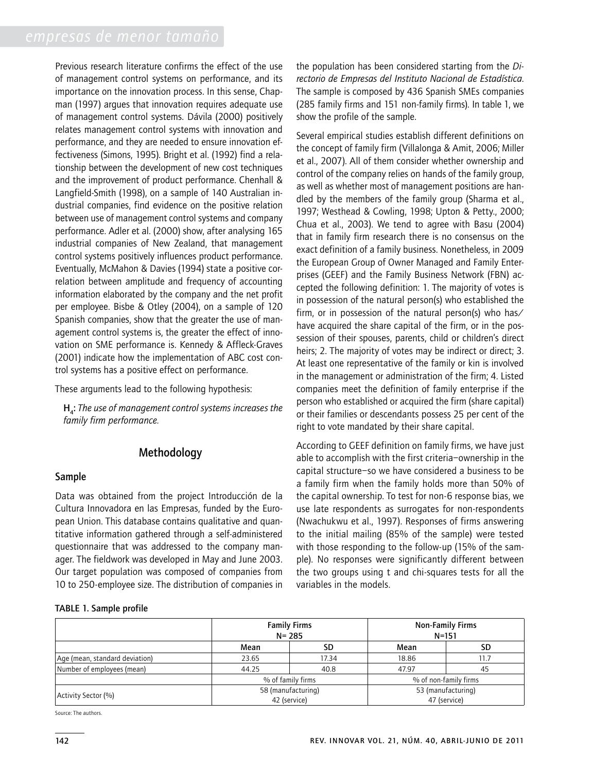Previous research literature confirms the effect of the use of management control systems on performance, and its importance on the innovation process. In this sense, Chapman (1997) argues that innovation requires adequate use of management control systems. Dávila (2000) positively relates management control systems with innovation and performance, and they are needed to ensure innovation effectiveness (Simons, 1995). Bright et al. (1992) find a relationship between the development of new cost techniques and the improvement of product performance. Chenhall & Langfield-Smith (1998), on a sample of 140 Australian industrial companies, find evidence on the positive relation between use of management control systems and company performance. Adler et al. (2000) show, after analysing 165 industrial companies of New Zealand, that management control systems positively influences product performance. Eventually, McMahon & Davies (1994) state a positive correlation between amplitude and frequency of accounting information elaborated by the company and the net profit per employee. Bisbe & Otley (2004), on a sample of 120 Spanish companies, show that the greater the use of management control systems is, the greater the effect of innovation on SME performance is. Kennedy & Affleck-Graves (2001) indicate how the implementation of ABC cost control systems has a positive effect on performance.

These arguments lead to the following hypothesis:

H4 : *The use of management control systems increases the family firm performance.* 

# Methodology

# Sample

Data was obtained from the project Introducción de la Cultura Innovadora en las Empresas, funded by the European Union. This database contains qualitative and quantitative information gathered through a self-administered questionnaire that was addressed to the company manager. The fieldwork was developed in May and June 2003. Our target population was composed of companies from 10 to 250-employee size. The distribution of companies in

the population has been considered starting from the *Directorio de Empresas del Instituto Nacional de Estadística*. The sample is composed by 436 Spanish SMEs companies (285 family firms and 151 non-family firms). In table 1, we show the profile of the sample.

Several empirical studies establish different definitions on the concept of family firm (Villalonga & Amit, 2006; Miller et al., 2007). All of them consider whether ownership and control of the company relies on hands of the family group, as well as whether most of management positions are handled by the members of the family group (Sharma et al., 1997; Westhead & Cowling, 1998; Upton & Petty., 2000; Chua et al., 2003). We tend to agree with Basu (2004) that in family firm research there is no consensus on the exact definition of a family business. Nonetheless, in 2009 the European Group of Owner Managed and Family Enterprises (GEEF) and the Family Business Network (FBN) accepted the following definition: 1. The majority of votes is in possession of the natural person(s) who established the firm, or in possession of the natural person(s) who has/ have acquired the share capital of the firm, or in the possession of their spouses, parents, child or children's direct heirs; 2. The majority of votes may be indirect or direct; 3. At least one representative of the family or kin is involved in the management or administration of the firm; 4. Listed companies meet the definition of family enterprise if the person who established or acquired the firm (share capital) or their families or descendants possess 25 per cent of the right to vote mandated by their share capital.

According to GEEF definition on family firms, we have just able to accomplish with the first criteria–ownership in the capital structure–so we have considered a business to be a family firm when the family holds more than 50% of the capital ownership. To test for non-6 response bias, we use late respondents as surrogates for non-respondents (Nwachukwu et al., 1997). Responses of firms answering to the initial mailing (85% of the sample) were tested with those responding to the follow-up (15% of the sample). No responses were significantly different between the two groups using t and chi-squares tests for all the variables in the models.

### Table 1. Sample profile

|                                | <b>Family Firms</b><br>$N = 285$ |                                    | <b>Non-Family Firms</b><br>$N = 151$ |                                    |  |  |
|--------------------------------|----------------------------------|------------------------------------|--------------------------------------|------------------------------------|--|--|
|                                | Mean                             | SD                                 | Mean                                 | SD                                 |  |  |
| Age (mean, standard deviation) | 23.65                            | 17.34                              | 18.86                                | 11.7                               |  |  |
| Number of employees (mean)     | 44.25                            | 40.8                               | 47.97                                | 45                                 |  |  |
|                                |                                  | % of family firms                  |                                      | % of non-family firms              |  |  |
| Activity Sector (%)            |                                  | 58 (manufacturing)<br>42 (service) |                                      | 53 (manufacturing)<br>47 (service) |  |  |

Source: The authors.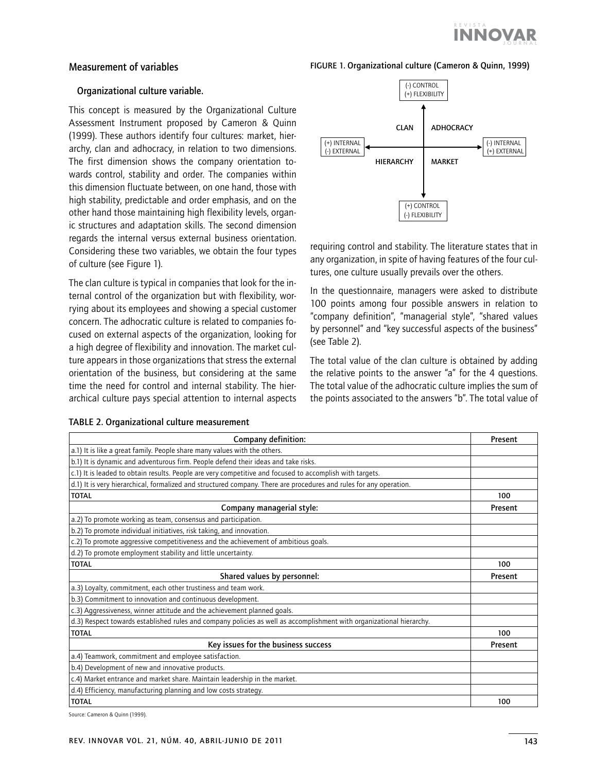

# Measurement of variables

#### FIGURE 1. Organizational culture (Cameron & Quinn, 1999)

#### Organizational culture variable.

This concept is measured by the Organizational Culture Assessment Instrument proposed by Cameron & Quinn (1999). These authors identify four cultures: market, hierarchy, clan and adhocracy, in relation to two dimensions. The first dimension shows the company orientation towards control, stability and order. The companies within this dimension fluctuate between, on one hand, those with high stability, predictable and order emphasis, and on the other hand those maintaining high flexibility levels, organic structures and adaptation skills. The second dimension regards the internal versus external business orientation. Considering these two variables, we obtain the four types of culture (see Figure 1).

The clan culture is typical in companies that look for the internal control of the organization but with flexibility, worrying about its employees and showing a special customer concern. The adhocratic culture is related to companies focused on external aspects of the organization, looking for a high degree of flexibility and innovation. The market culture appears in those organizations that stress the external orientation of the business, but considering at the same time the need for control and internal stability. The hierarchical culture pays special attention to internal aspects



requiring control and stability. The literature states that in any organization, in spite of having features of the four cultures, one culture usually prevails over the others.

In the questionnaire, managers were asked to distribute 100 points among four possible answers in relation to "company definition", "managerial style", "shared values by personnel" and "key successful aspects of the business" (see Table 2).

The total value of the clan culture is obtained by adding the relative points to the answer "a" for the 4 questions. The total value of the adhocratic culture implies the sum of the points associated to the answers "b". The total value of

| Company definition:                                                                                                  | Present |
|----------------------------------------------------------------------------------------------------------------------|---------|
| a.1) It is like a great family. People share many values with the others.                                            |         |
| b.1) It is dynamic and adventurous firm. People defend their ideas and take risks.                                   |         |
| c.1) It is leaded to obtain results. People are very competitive and focused to accomplish with targets.             |         |
| d.1) It is very hierarchical, formalized and structured company. There are procedures and rules for any operation.   |         |
| <b>TOTAL</b>                                                                                                         | 100     |
| Company managerial style:                                                                                            | Present |
| a.2) To promote working as team, consensus and participation.                                                        |         |
| b.2) To promote individual initiatives, risk taking, and innovation.                                                 |         |
| c.2) To promote aggressive competitiveness and the achievement of ambitious goals.                                   |         |
| d.2) To promote employment stability and little uncertainty.                                                         |         |
| <b>TOTAL</b>                                                                                                         | 100     |
| Shared values by personnel:                                                                                          | Present |
| a.3) Loyalty, commitment, each other trustiness and team work.                                                       |         |
| b.3) Commitment to innovation and continuous development.                                                            |         |
| c.3) Aggressiveness, winner attitude and the achievement planned goals.                                              |         |
| d.3) Respect towards established rules and company policies as well as accomplishment with organizational hierarchy. |         |
| <b>TOTAL</b>                                                                                                         | 100     |
| Key issues for the business success                                                                                  | Present |
| a.4) Teamwork, commitment and employee satisfaction.                                                                 |         |
| b.4) Development of new and innovative products.                                                                     |         |
| c.4) Market entrance and market share. Maintain leadership in the market.                                            |         |
| d.4) Efficiency, manufacturing planning and low costs strategy.                                                      |         |
| <b>TOTAL</b>                                                                                                         | 100     |

Table 2. Organizational culture measurement

Source: Cameron & Quinn (1999).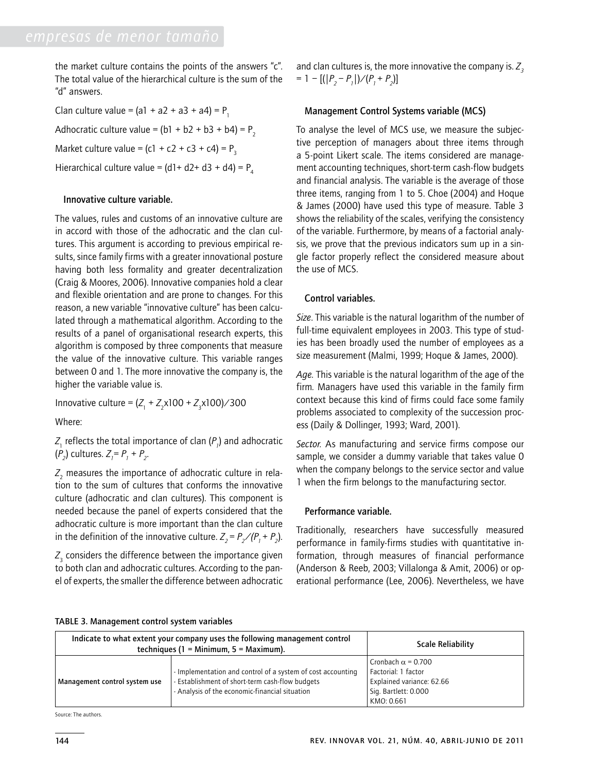the market culture contains the points of the answers "c". The total value of the hierarchical culture is the sum of the "d" answers.

Clan culture value =  $(al + a2 + a3 + a4) = P_1$ Adhocratic culture value =  $(b1 + b2 + b3 + b4) = P$ Market culture value =  $(c1 + c2 + c3 + c4) = P<sub>3</sub>$ Hierarchical culture value =  $(d1 + d2 + d3 + d4) = P<sub>4</sub>$ 

# Innovative culture variable.

The values, rules and customs of an innovative culture are in accord with those of the adhocratic and the clan cultures. This argument is according to previous empirical results, since family firms with a greater innovational posture having both less formality and greater decentralization (Craig & Moores, 2006). Innovative companies hold a clear and flexible orientation and are prone to changes. For this reason, a new variable "innovative culture" has been calculated through a mathematical algorithm. According to the results of a panel of organisational research experts, this algorithm is composed by three components that measure the value of the innovative culture. This variable ranges between 0 and 1. The more innovative the company is, the higher the variable value is.

 $\text{Innovative culture} = (Z_1 + Z_2 \times 100 + Z_3 \times 100) / 300$ 

Where:

 $Z_{\!\scriptscriptstyle 1}$  reflects the total importance of clan ( $P_{\!\scriptscriptstyle 1}$ ) and adhocratic  $(P_2)$  cultures.  $Z_1 = P_1 + P_2$ .

 $Z_{_{\rm 2}}$  measures the importance of adhocratic culture in relation to the sum of cultures that conforms the innovative culture (adhocratic and clan cultures). This component is needed because the panel of experts considered that the adhocratic culture is more important than the clan culture in the definition of the innovative culture.  $Z_2 = P_2 / (P_1 + P_2)$ .

 $Z_{\tiny 3}$  considers the difference between the importance given to both clan and adhocratic cultures. According to the panel of experts, the smaller the difference between adhocratic

and clan cultures is, the more innovative the company is.  $Z<sub>2</sub>$  $= 1 - [(|P_2 - P_1|) / (P_1 + P_2)]$ 

### Management Control Systems variable (MCS)

To analyse the level of MCS use, we measure the subjective perception of managers about three items through a 5-point Likert scale. The items considered are management accounting techniques, short-term cash-flow budgets and financial analysis. The variable is the average of those three items, ranging from 1 to 5. Choe (2004) and Hoque & James (2000) have used this type of measure. Table 3 shows the reliability of the scales, verifying the consistency of the variable. Furthermore, by means of a factorial analysis, we prove that the previous indicators sum up in a single factor properly reflect the considered measure about the use of MCS.

# Control variables.

*Size*. This variable is the natural logarithm of the number of full-time equivalent employees in 2003. This type of studies has been broadly used the number of employees as a size measurement (Malmi, 1999; Hoque & James, 2000).

*Age.* This variable is the natural logarithm of the age of the firm*.* Managers have used this variable in the family firm context because this kind of firms could face some family problems associated to complexity of the succession process (Daily & Dollinger, 1993; Ward, 2001).

*Sector.* As manufacturing and service firms compose our sample, we consider a dummy variable that takes value 0 when the company belongs to the service sector and value 1 when the firm belongs to the manufacturing sector.

### Performance variable.

Traditionally, researchers have successfully measured performance in family-firms studies with quantitative information, through measures of financial performance (Anderson & Reeb, 2003; Villalonga & Amit, 2006) or operational performance (Lee, 2006). Nevertheless, we have

| TABLE 3. Management control system variables |  |
|----------------------------------------------|--|
|                                              |  |

| Indicate to what extent your company uses the following management control<br>techniques (1 = Minimum, $5$ = Maximum). | <b>Scale Reliability</b>                                                                                                                                         |                                                                                                                     |
|------------------------------------------------------------------------------------------------------------------------|------------------------------------------------------------------------------------------------------------------------------------------------------------------|---------------------------------------------------------------------------------------------------------------------|
| Management control system use                                                                                          | - Implementation and control of a system of cost accounting<br>- Establishment of short-term cash-flow budgets<br>- Analysis of the economic-financial situation | Cronbach $\alpha$ = 0.700<br>Factorial: 1 factor<br>Explained variance: 62.66<br>Sig. Bartlett: 0.000<br>KMO: 0.661 |

Source: The authors.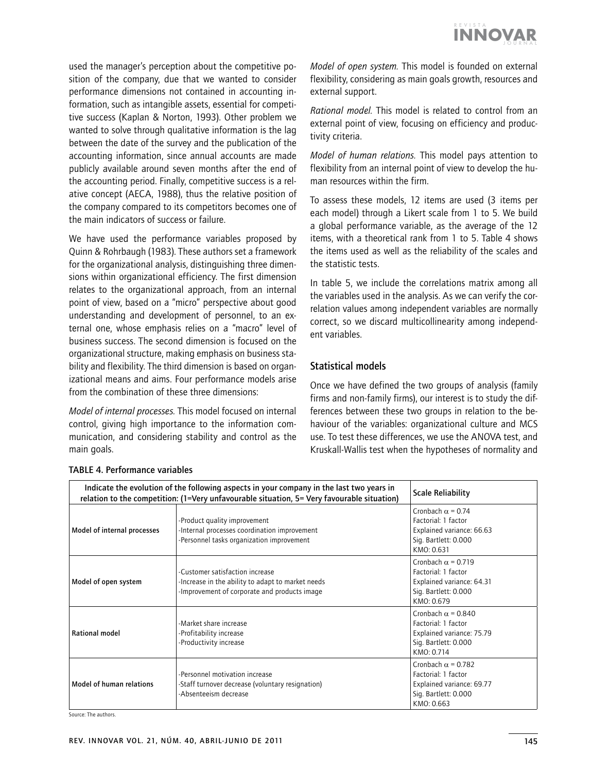

used the manager's perception about the competitive position of the company, due that we wanted to consider performance dimensions not contained in accounting information, such as intangible assets, essential for competitive success (Kaplan & Norton, 1993). Other problem we wanted to solve through qualitative information is the lag between the date of the survey and the publication of the accounting information, since annual accounts are made publicly available around seven months after the end of the accounting period. Finally, competitive success is a relative concept (AECA, 1988), thus the relative position of the company compared to its competitors becomes one of the main indicators of success or failure.

We have used the performance variables proposed by Quinn & Rohrbaugh (1983). These authors set a framework for the organizational analysis, distinguishing three dimensions within organizational efficiency. The first dimension relates to the organizational approach, from an internal point of view, based on a "micro" perspective about good understanding and development of personnel, to an external one, whose emphasis relies on a "macro" level of business success. The second dimension is focused on the organizational structure, making emphasis on business stability and flexibility. The third dimension is based on organizational means and aims. Four performance models arise from the combination of these three dimensions:

*Model of internal processes.* This model focused on internal control, giving high importance to the information communication, and considering stability and control as the main goals.

*Model of open system.* This model is founded on external flexibility, considering as main goals growth, resources and external support.

*Rational model.* This model is related to control from an external point of view, focusing on efficiency and productivity criteria.

*Model of human relations.* This model pays attention to flexibility from an internal point of view to develop the human resources within the firm.

To assess these models, 12 items are used (3 items per each model) through a Likert scale from 1 to 5. We build a global performance variable, as the average of the 12 items, with a theoretical rank from 1 to 5. Table 4 shows the items used as well as the reliability of the scales and the statistic tests.

In table 5, we include the correlations matrix among all the variables used in the analysis. As we can verify the correlation values among independent variables are normally correct, so we discard multicollinearity among independent variables.

# Statistical models

Once we have defined the two groups of analysis (family firms and non-family firms), our interest is to study the differences between these two groups in relation to the behaviour of the variables: organizational culture and MCS use. To test these differences, we use the ANOVA test, and Kruskall-Wallis test when the hypotheses of normality and

| Indicate the evolution of the following aspects in your company in the last two years in<br>relation to the competition: (1=Very unfavourable situation, 5= Very favourable situation) | <b>Scale Reliability</b>                                                                                                             |                                                                                                                     |
|----------------------------------------------------------------------------------------------------------------------------------------------------------------------------------------|--------------------------------------------------------------------------------------------------------------------------------------|---------------------------------------------------------------------------------------------------------------------|
| Model of internal processes                                                                                                                                                            | -Product quality improvement<br>-Internal processes coordination improvement<br>-Personnel tasks organization improvement            | Cronbach $\alpha$ = 0.74<br>Factorial: 1 factor<br>Explained variance: 66.63<br>Sig. Bartlett: 0.000<br>KMO: 0.631  |
| Model of open system                                                                                                                                                                   | -Customer satisfaction increase<br>-Increase in the ability to adapt to market needs<br>-Improvement of corporate and products image | Cronbach $\alpha$ = 0.719<br>Factorial: 1 factor<br>Explained variance: 64.31<br>Sig. Bartlett: 0.000<br>KMO: 0.679 |
| Rational model                                                                                                                                                                         | -Market share increase<br>-Profitability increase<br>-Productivity increase                                                          | Cronbach $\alpha$ = 0.840<br>Factorial: 1 factor<br>Explained variance: 75.79<br>Sig. Bartlett: 0.000<br>KMO: 0.714 |
| Model of human relations                                                                                                                                                               | -Personnel motivation increase<br>-Staff turnover decrease (voluntary resignation)<br>-Absenteeism decrease                          | Cronbach $\alpha$ = 0.782<br>Factorial: 1 factor<br>Explained variance: 69.77<br>Sig. Bartlett: 0.000<br>KMO: 0.663 |

# Table 4. Performance variables

Source: The authors.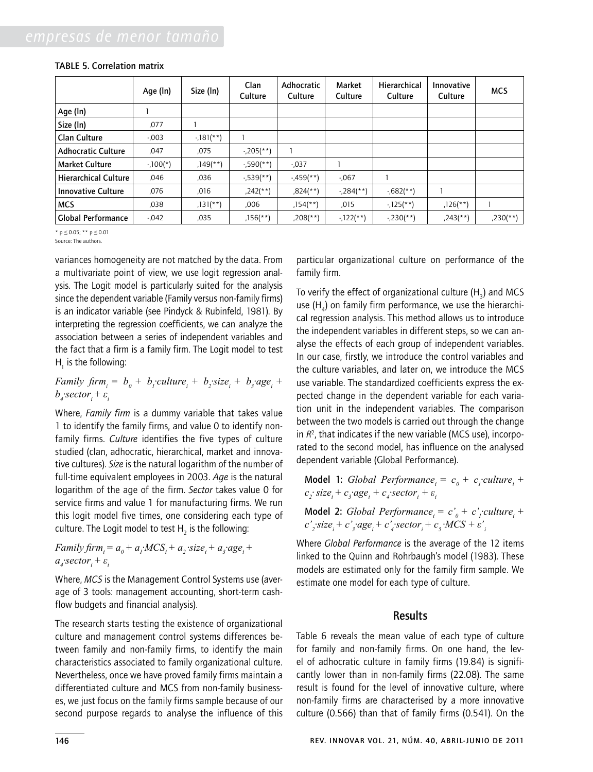|                             | Age (In)  | Size (In)              | Clan<br>Culture        | Adhocratic<br>Culture    | Market<br>Culture      | Hierarchical<br>Culture | Innovative<br>Culture  | <b>MCS</b>  |
|-----------------------------|-----------|------------------------|------------------------|--------------------------|------------------------|-------------------------|------------------------|-------------|
| Age (In)                    |           |                        |                        |                          |                        |                         |                        |             |
| Size (In)                   | ,077      |                        |                        |                          |                        |                         |                        |             |
| <b>Clan Culture</b>         | $-0.003$  | $-181$ <sup>**</sup> ) |                        |                          |                        |                         |                        |             |
| <b>Adhocratic Culture</b>   | ,047      | ,075                   | $-205$ (**)            |                          |                        |                         |                        |             |
| <b>Market Culture</b>       | $-100(*)$ | $,149$ <sup>**</sup> ) | $-590$ (**)            | $-0.037$                 |                        |                         |                        |             |
| <b>Hierarchical Culture</b> | ,046      | ,036                   | $-539$ <sup>**</sup> ) | $-459$ <sup>**</sup> )   | $-067$                 |                         |                        |             |
| <b>Innovative Culture</b>   | ,076      | ,016                   | $,242$ (**)            | $,824$ <sup>(**)</sup> ) | $-284$ <sup>**</sup> ) | $-0.682$ (**)           |                        |             |
| <b>MCS</b>                  | ,038      | $,131$ (**)            | .006                   | $,154$ <sup>**</sup> )   | ,015                   | $-125$ (**)             | $,126$ <sup>**</sup> ) |             |
| <b>Global Performance</b>   | $-0.042$  | ,035                   | $,156$ <sup>(**)</sup> | $,208$ (**)              | $-122$ (**)            | $-230$ (**)             | $,243$ <sup>**</sup> ) | $,230$ (**) |

\* p *≤* 0.05; \*\* p *≤* 0.01

Source: The authors.

variances homogeneity are not matched by the data. From a multivariate point of view, we use logit regression analysis. The Logit model is particularly suited for the analysis since the dependent variable (Family versus non-family firms) is an indicator variable (see Pindyck & Rubinfeld, 1981). By interpreting the regression coefficients, we can analyze the association between a series of independent variables and the fact that a firm is a family firm. The Logit model to test  $H_1$  is the following:

*Family firm*<sub>*i*</sub> =  $b_0$  +  $b_j$ *culture*<sub>*i*</sub> +  $b_j$ *size*<sub>*i*</sub> +  $b_j$ *age<sub>i</sub>* +  $b^{}_{\scriptscriptstyle{4}}$  sector<sub>i</sub> +  $\varepsilon^{}_{\scriptscriptstyle{i}}$ 

Where, *Family firm* is a dummy variable that takes value 1 to identify the family firms, and value 0 to identify nonfamily firms. *Culture* identifies the five types of culture studied (clan, adhocratic, hierarchical, market and innovative cultures). *Size* is the natural logarithm of the number of full-time equivalent employees in 2003. *Age* is the natural logarithm of the age of the firm. *Sector* takes value 0 for service firms and value 1 for manufacturing firms. We run this logit model five times, one considering each type of culture. The Logit model to test  ${\sf H}_{_2}$  is the following:

*Family firm*<sub>*i*</sub> =  $a_0 + a_1 MCS_1 + a_2$  size<sub>i</sub> +  $a_3 a g e_1 + a_4 g$  $a_i$  sector<sub>i</sub> +  $\varepsilon$ <sup>*i*</sup>

Where, *MCS* is the Management Control Systems use (average of 3 tools: management accounting, short-term cashflow budgets and financial analysis).

The research starts testing the existence of organizational culture and management control systems differences between family and non-family firms, to identify the main characteristics associated to family organizational culture. Nevertheless, once we have proved family firms maintain a differentiated culture and MCS from non-family businesses, we just focus on the family firms sample because of our second purpose regards to analyse the influence of this

particular organizational culture on performance of the family firm.

To verify the effect of organizational culture (H $_{\rm 3}$ ) and MCS use  $(H_4)$  on family firm performance, we use the hierarchical regression analysis. This method allows us to introduce the independent variables in different steps, so we can analyse the effects of each group of independent variables. In our case, firstly, we introduce the control variables and the culture variables, and later on, we introduce the MCS use variable. The standardized coefficients express the expected change in the dependent variable for each variation unit in the independent variables. The comparison between the two models is carried out through the change in *R*<sup>2</sup> , that indicates if the new variable (MCS use), incorporated to the second model, has influence on the analysed dependent variable (Global Performance).

Model 1: *Global Performance*<sub>*i*</sub> =  $c_0 + c_1$ *culture*<sub>*i*</sub> +  $c_2$ ·*size<sub>i</sub>*</sub> +  $c_3$ ·*age<sub>i</sub>*</sub> +  $c_4$  *sector<sub>i</sub>* +  $\varepsilon_i$ 

Model 2: *Global Performance*<sub>*i*</sub> =  $c'_0$  +  $c'_1$ *culture<sub>i</sub>* +  $c'$ <sub>2</sub> $\cdot$ size<sub>i</sub> + c'<sub>4</sub> $\cdot$ <sub>3</sub> $\cdot$ *age<sub>i</sub>* + c'<sub>4</sub> $\cdot$ *sector*<sub>*i*</sub> + c<sub>5</sub> $\cdot$ *MCS* +  $\varepsilon'$ <sub>*i*</sub>

Where *Global Performance* is the average of the 12 items linked to the Quinn and Rohrbaugh's model (1983). These models are estimated only for the family firm sample. We estimate one model for each type of culture.

### Results

Table 6 reveals the mean value of each type of culture for family and non-family firms. On one hand, the level of adhocratic culture in family firms (19.84) is significantly lower than in non-family firms (22.08). The same result is found for the level of innovative culture, where non-family firms are characterised by a more innovative culture (0.566) than that of family firms (0.541). On the

146 rev. innovar vol. 21, núm. 40, abril-junio de 2011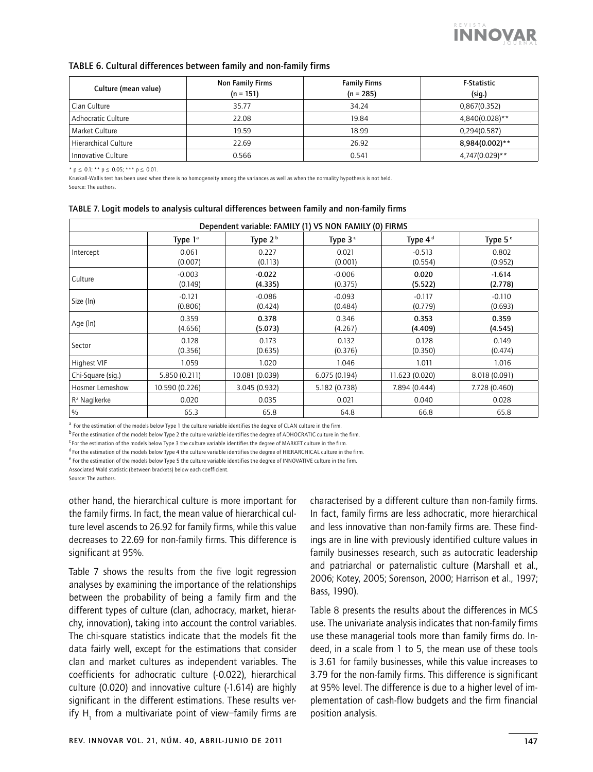

### Table 6. Cultural differences between family and non-family firms

| Culture (mean value) | Non Family Firms<br>$(n = 151)$ | <b>Family Firms</b><br>$(n = 285)$ | <b>F-Statistic</b><br>(sig.) |
|----------------------|---------------------------------|------------------------------------|------------------------------|
| Clan Culture         | 35.77                           | 34.24                              | 0,867(0.352)                 |
| Adhocratic Culture   | 22.08                           | 19.84                              | 4.840(0.028)**               |
| Market Culture       | 19.59                           | 18.99                              | 0,294(0.587)                 |
| Hierarchical Culture | 22.69                           | 26.92                              | 8,984(0.002)**               |
| Innovative Culture   | 0.566                           | 0.541                              | 4,747(0.029)**               |

\* p *≤* 0.1; \*\* p *≤* 0.05; \*\*\* p *≤* 0.01.

Kruskall-Wallis test has been used when there is no homogeneity among the variances as well as when the normality hypothesis is not held. Source: The authors.

| Dependent variable: FAMILY (1) VS NON FAMILY (0) FIRMS |                     |                     |                     |                     |                     |  |  |
|--------------------------------------------------------|---------------------|---------------------|---------------------|---------------------|---------------------|--|--|
|                                                        | Type $1^a$          | Type $2b$           | Type $3c$           | Type 4 <sup>d</sup> | Type 5 <sup>e</sup> |  |  |
| Intercept                                              | 0.061<br>(0.007)    | 0.227<br>(0.113)    | 0.021<br>(0.001)    | $-0.513$<br>(0.554) | 0.802<br>(0.952)    |  |  |
| Culture                                                | $-0.003$<br>(0.149) | $-0.022$<br>(4.335) | $-0.006$<br>(0.375) | 0.020<br>(5.522)    | $-1.614$<br>(2.778) |  |  |
| Size (In)                                              | $-0.121$<br>(0.806) | $-0.086$<br>(0.424) | $-0.093$<br>(0.484) | $-0.117$<br>(0.779) | $-0.110$<br>(0.693) |  |  |
| Age (In)                                               | 0.359<br>(4.656)    | 0.378<br>(5.073)    | 0.346<br>(4.267)    | 0.353<br>(4.409)    | 0.359<br>(4.545)    |  |  |
| Sector                                                 | 0.128<br>(0.356)    | 0.173<br>(0.635)    | 0.132<br>(0.376)    | 0.128<br>(0.350)    | 0.149<br>(0.474)    |  |  |
| Highest VIF                                            | 1.059               | 1.020               | 1.046               | 1.011               | 1.016               |  |  |
| Chi-Square (sig.)                                      | 5.850 (0.211)       | 10.081 (0.039)      | 6.075 (0.194)       | 11.623 (0.020)      | 8.018 (0.091)       |  |  |
| <b>Hosmer Lemeshow</b>                                 | 10.590 (0.226)      | 3.045 (0.932)       | 5.182 (0.738)       | 7.894 (0.444)       | 7.728 (0.460)       |  |  |
| $R2$ Naglkerke                                         | 0.020               | 0.035               | 0.021               | 0.040               | 0.028               |  |  |
| $\frac{0}{0}$                                          | 65.3                | 65.8                | 64.8                | 66.8                | 65.8                |  |  |

#### Table 7. Logit models to analysis cultural differences between family and non-family firms

a For the estimation of the models below Type 1 the culture variable identifies the degree of CLAN culture in the firm.

<sup>b</sup> For the estimation of the models below Type 2 the culture variable identifies the degree of ADHOCRATIC culture in the firm.

<sup>c</sup> For the estimation of the models below Type 3 the culture variable identifies the degree of MARKET culture in the firm.

 $^{\text{d}}$  For the estimation of the models below Type 4 the culture variable identifies the degree of HIERARCHICAL culture in the firm.

e For the estimation of the models below Type 5 the culture variable identifies the degree of INNOVATIVE culture in the firm.

Associated Wald statistic (between brackets) below each coefficient.

Source: The authors.

other hand, the hierarchical culture is more important for the family firms. In fact, the mean value of hierarchical culture level ascends to 26.92 for family firms, while this value decreases to 22.69 for non-family firms. This difference is significant at 95%.

Table 7 shows the results from the five logit regression analyses by examining the importance of the relationships between the probability of being a family firm and the different types of culture (clan, adhocracy, market, hierarchy, innovation), taking into account the control variables. The chi-square statistics indicate that the models fit the data fairly well, except for the estimations that consider clan and market cultures as independent variables. The coefficients for adhocratic culture (-0.022), hierarchical culture (0.020) and innovative culture (-1.614) are highly significant in the different estimations. These results verify  $H_1$  from a multivariate point of view–family firms are

characterised by a different culture than non-family firms. In fact, family firms are less adhocratic, more hierarchical and less innovative than non-family firms are. These findings are in line with previously identified culture values in family businesses research, such as autocratic leadership and patriarchal or paternalistic culture (Marshall et al., 2006; Kotey, 2005; Sorenson, 2000; Harrison et al., 1997; Bass, 1990).

Table 8 presents the results about the differences in MCS use. The univariate analysis indicates that non-family firms use these managerial tools more than family firms do. Indeed, in a scale from 1 to 5, the mean use of these tools is 3.61 for family businesses, while this value increases to 3.79 for the non-family firms. This difference is significant at 95% level. The difference is due to a higher level of implementation of cash-flow budgets and the firm financial position analysis.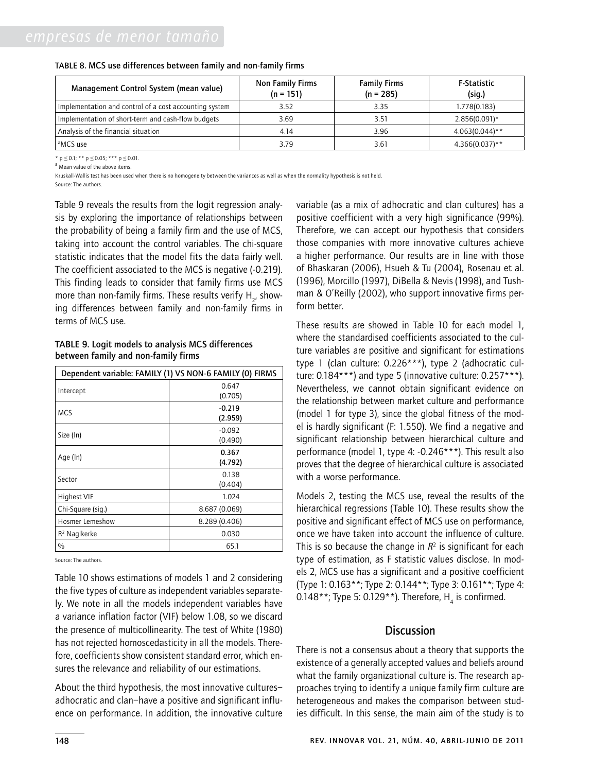| Management Control System (mean value)                 | Non Family Firms<br>$(n = 151)$ | <b>Family Firms</b><br>$(n = 285)$ | <b>F-Statistic</b><br>(sig.) |
|--------------------------------------------------------|---------------------------------|------------------------------------|------------------------------|
| Implementation and control of a cost accounting system | 3.52                            | 3.35                               | 1.778(0.183)                 |
| Implementation of short-term and cash-flow budgets     | 3.69                            | 3.51                               | $2.856(0.091)$ *             |
| Analysis of the financial situation                    | 4.14                            | 3.96                               | $4.063(0.044)$ **            |
| <sup>a</sup> MCS use                                   | 3.79                            | 3.61                               | $4.366(0.037)$ **            |

#### Table 8. MCS use differences between family and non-family firms

\* p *≤* 0.1; \*\* p *≤* 0.05; \*\*\* p *≤* 0.01.

a Mean value of the above items.

Kruskall-Wallis test has been used when there is no homogeneity between the variances as well as when the normality hypothesis is not held. Source: The authors.

Table 9 reveals the results from the logit regression analysis by exploring the importance of relationships between the probability of being a family firm and the use of MCS, taking into account the control variables. The chi-square statistic indicates that the model fits the data fairly well. The coefficient associated to the MCS is negative (-0.219). This finding leads to consider that family firms use MCS more than non-family firms. These results verify  $\mathsf{H}_{_{2^{\prime}}}$  showing differences between family and non-family firms in terms of MCS use.

Table 9. Logit models to analysis MCS differences between family and non-family firms

| Dependent variable: FAMILY (1) VS NON-6 FAMILY (0) FIRMS |                     |  |  |  |
|----------------------------------------------------------|---------------------|--|--|--|
| Intercept                                                | 0.647<br>(0.705)    |  |  |  |
| <b>MCS</b>                                               | $-0.219$<br>(2.959) |  |  |  |
| Size (In)                                                | $-0.092$<br>(0.490) |  |  |  |
| Age (In)                                                 | 0.367<br>(4.792)    |  |  |  |
| Sector                                                   | 0.138<br>(0.404)    |  |  |  |
| <b>Highest VIF</b>                                       | 1.024               |  |  |  |
| Chi-Square (sig.)                                        | 8.687 (0.069)       |  |  |  |
| Hosmer Lemeshow                                          | 8.289 (0.406)       |  |  |  |
| $R2$ Naglkerke                                           | 0.030               |  |  |  |
| $\%$                                                     | 65.1                |  |  |  |

Source: The authors.

Table 10 shows estimations of models 1 and 2 considering the five types of culture as independent variables separately. We note in all the models independent variables have a variance inflation factor (VIF) below 1.08, so we discard the presence of multicollinearity. The test of White (1980) has not rejected homoscedasticity in all the models. Therefore, coefficients show consistent standard error, which ensures the relevance and reliability of our estimations.

About the third hypothesis, the most innovative cultures– adhocratic and clan–have a positive and significant influence on performance. In addition, the innovative culture variable (as a mix of adhocratic and clan cultures) has a positive coefficient with a very high significance (99%). Therefore, we can accept our hypothesis that considers those companies with more innovative cultures achieve a higher performance. Our results are in line with those of Bhaskaran (2006), Hsueh & Tu (2004), Rosenau et al. (1996), Morcillo (1997), DiBella & Nevis (1998), and Tushman & O'Reilly (2002), who support innovative firms perform better.

These results are showed in Table 10 for each model 1, where the standardised coefficients associated to the culture variables are positive and significant for estimations type 1 (clan culture: 0.226\*\*\*), type 2 (adhocratic culture:  $0.184***$ ) and type 5 (innovative culture:  $0.257***$ ). Nevertheless, we cannot obtain significant evidence on the relationship between market culture and performance (model 1 for type 3), since the global fitness of the model is hardly significant (F: 1.550). We find a negative and significant relationship between hierarchical culture and performance (model 1, type 4: -0.246\*\*\*). This result also proves that the degree of hierarchical culture is associated with a worse performance.

Models 2, testing the MCS use, reveal the results of the hierarchical regressions (Table 10). These results show the positive and significant effect of MCS use on performance, once we have taken into account the influence of culture. This is so because the change in  $R^2$  is significant for each type of estimation, as F statistic values disclose. In models 2, MCS use has a significant and a positive coefficient (Type 1: 0.163\*\*; Type 2: 0.144\*\*; Type 3: 0.161\*\*; Type 4: 0.148\*\*; Type 5: 0.129\*\*). Therefore,  $H_4$  is confirmed.

# **Discussion**

There is not a consensus about a theory that supports the existence of a generally accepted values and beliefs around what the family organizational culture is. The research approaches trying to identify a unique family firm culture are heterogeneous and makes the comparison between studies difficult. In this sense, the main aim of the study is to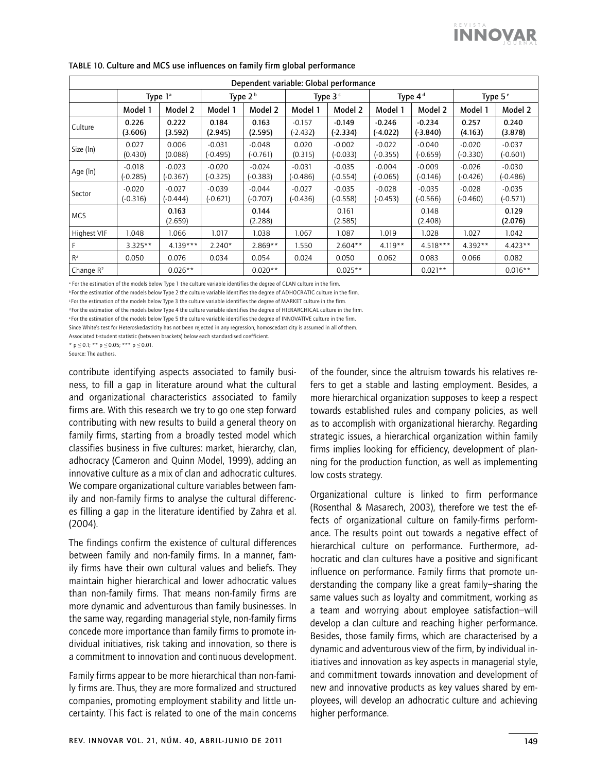| Dependent variable: Global performance |                        |                        |                        |                        |                        |                        |                        |                        |                        |                        |
|----------------------------------------|------------------------|------------------------|------------------------|------------------------|------------------------|------------------------|------------------------|------------------------|------------------------|------------------------|
|                                        |                        | Type $1^a$             |                        | Type $2b$              | Type $3c$              |                        | Type 4 <sup>d</sup>    |                        | Type 5 <sup>e</sup>    |                        |
|                                        | Model 1                | Model 2                | Model 1                | Model 2                | Model 1                | Model 2                | Model 1                | Model 2                | Model 1                | Model 2                |
| Culture                                | 0.226<br>(3.606)       | 0.222<br>(3.592)       | 0.184<br>(2.945)       | 0.163<br>(2.595)       | $-0.157$<br>(-2.432)   | $-0.149$<br>$(-2.334)$ | $-0.246$<br>$(-4.022)$ | $-0.234$<br>(-3.840)   | 0.257<br>(4.163)       | 0.240<br>(3.878)       |
| Size (In)                              | 0.027<br>(0.430)       | 0.006<br>(0.088)       | $-0.031$<br>$(-0.495)$ | $-0.048$<br>$(-0.761)$ | 0.020<br>(0.315)       | $-0.002$<br>$-0.033$   | $-0.022$<br>$(-0.355)$ | $-0.040$<br>$(-0.659)$ | $-0.020$<br>(-0.330)   | $-0.037$<br>$(-0.601)$ |
| Age (ln)                               | $-0.018$<br>$(-0.285)$ | $-0.023$<br>$(-0.367)$ | $-0.020$<br>$(-0.325)$ | $-0.024$<br>(-0.383)   | $-0.031$<br>$(-0.486)$ | $-0.035$<br>(-0.554)   | $-0.004$<br>$(-0.065)$ | $-0.009$<br>$(-0.146)$ | $-0.026$<br>$(-0.426)$ | $-0.030$<br>$(-0.486)$ |
| Sector                                 | $-0.020$<br>$(-0.316)$ | $-0.027$<br>$(-0.444)$ | $-0.039$<br>$(-0.621)$ | $-0.044$<br>$(-0.707)$ | $-0.027$<br>$(-0.436)$ | $-0.035$<br>(-0.558)   | $-0.028$<br>$(-0.453)$ | $-0.035$<br>$(-0.566)$ | $-0.028$<br>$(-0.460)$ | $-0.035$<br>$(-0.571)$ |
| <b>MCS</b>                             |                        | 0.163<br>(2.659)       |                        | 0.144<br>(2.288)       |                        | 0.161<br>(2.585)       |                        | 0.148<br>(2.408)       |                        | 0.129<br>(2.076)       |
| Highest VIF                            | 1.048                  | 1.066                  | 1.017                  | 1.038                  | 1.067                  | 1.087                  | 1.019                  | 1.028                  | 1.027                  | 1.042                  |
|                                        | $3.325**$              | $4.139***$             | $2.240*$               | $2.869**$              | 1.550                  | $2.604**$              | $4.119**$              | $4.518***$             | $4.392**$              | $4.423**$              |
| R <sup>2</sup>                         | 0.050                  | 0.076                  | 0.034                  | 0.054                  | 0.024                  | 0.050                  | 0.062                  | 0.083                  | 0.066                  | 0.082                  |
| Change $R^2$                           |                        | $0.026**$              |                        | $0.020**$              |                        | $0.025**$              |                        | $0.021**$              |                        | $0.016**$              |

# Table 10. Culture and MCS use influences on family firm global performance

a For the estimation of the models below Type 1 the culture variable identifies the degree of CLAN culture in the firm.

b For the estimation of the models below Type 2 the culture variable identifies the degree of ADHOCRATIC culture in the firm.

c For the estimation of the models below Type 3 the culture variable identifies the degree of MARKET culture in the firm.

d For the estimation of the models below Type 4 the culture variable identifies the degree of HIERARCHICAL culture in the firm.

e For the estimation of the models below Type 5 the culture variable identifies the degree of INNOVATIVE culture in the firm.

Since White's test for Heteroskedasticity has not been rejected in any regression, homoscedasticity is assumed in all of them.

Associated t-student statistic (between brackets) below each standardised coefficient.

\* p *≤* 0.1; \*\* p *≤* 0.05; \*\*\* p *≤* 0.01.

Source: The authors.

contribute identifying aspects associated to family business, to fill a gap in literature around what the cultural and organizational characteristics associated to family firms are. With this research we try to go one step forward contributing with new results to build a general theory on family firms, starting from a broadly tested model which classifies business in five cultures: market, hierarchy, clan, adhocracy (Cameron and Quinn Model, 1999), adding an innovative culture as a mix of clan and adhocratic cultures. We compare organizational culture variables between family and non-family firms to analyse the cultural differences filling a gap in the literature identified by Zahra et al. (2004).

The findings confirm the existence of cultural differences between family and non-family firms. In a manner, family firms have their own cultural values and beliefs. They maintain higher hierarchical and lower adhocratic values than non-family firms. That means non-family firms are more dynamic and adventurous than family businesses. In the same way, regarding managerial style, non-family firms concede more importance than family firms to promote individual initiatives, risk taking and innovation, so there is a commitment to innovation and continuous development.

Family firms appear to be more hierarchical than non-family firms are. Thus, they are more formalized and structured companies, promoting employment stability and little uncertainty. This fact is related to one of the main concerns of the founder, since the altruism towards his relatives refers to get a stable and lasting employment. Besides, a more hierarchical organization supposes to keep a respect towards established rules and company policies, as well as to accomplish with organizational hierarchy. Regarding strategic issues, a hierarchical organization within family firms implies looking for efficiency, development of planning for the production function, as well as implementing low costs strategy.

Organizational culture is linked to firm performance (Rosenthal & Masarech, 2003), therefore we test the effects of organizational culture on family-firms performance. The results point out towards a negative effect of hierarchical culture on performance. Furthermore, adhocratic and clan cultures have a positive and significant influence on performance. Family firms that promote understanding the company like a great family–sharing the same values such as loyalty and commitment, working as a team and worrying about employee satisfaction–will develop a clan culture and reaching higher performance. Besides, those family firms, which are characterised by a dynamic and adventurous view of the firm, by individual initiatives and innovation as key aspects in managerial style, and commitment towards innovation and development of new and innovative products as key values shared by employees, will develop an adhocratic culture and achieving higher performance.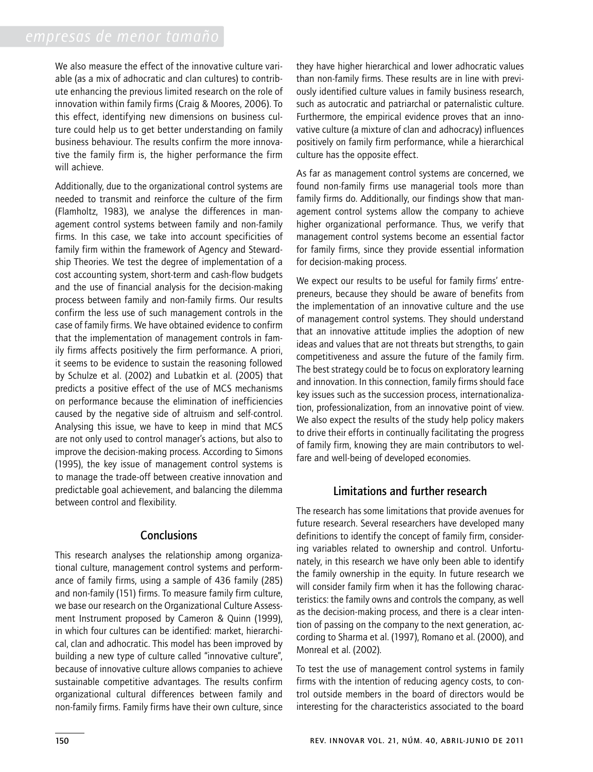We also measure the effect of the innovative culture variable (as a mix of adhocratic and clan cultures) to contribute enhancing the previous limited research on the role of innovation within family firms (Craig & Moores, 2006). To this effect, identifying new dimensions on business culture could help us to get better understanding on family business behaviour. The results confirm the more innovative the family firm is, the higher performance the firm will achieve.

Additionally, due to the organizational control systems are needed to transmit and reinforce the culture of the firm (Flamholtz, 1983), we analyse the differences in management control systems between family and non-family firms. In this case, we take into account specificities of family firm within the framework of Agency and Stewardship Theories. We test the degree of implementation of a cost accounting system, short-term and cash-flow budgets and the use of financial analysis for the decision-making process between family and non-family firms. Our results confirm the less use of such management controls in the case of family firms. We have obtained evidence to confirm that the implementation of management controls in family firms affects positively the firm performance. A priori, it seems to be evidence to sustain the reasoning followed by Schulze et al. (2002) and Lubatkin et al. (2005) that predicts a positive effect of the use of MCS mechanisms on performance because the elimination of inefficiencies caused by the negative side of altruism and self-control. Analysing this issue, we have to keep in mind that MCS are not only used to control manager's actions, but also to improve the decision-making process. According to Simons (1995), the key issue of management control systems is to manage the trade-off between creative innovation and predictable goal achievement, and balancing the dilemma between control and flexibility.

# **Conclusions**

This research analyses the relationship among organizational culture, management control systems and performance of family firms, using a sample of 436 family (285) and non-family (151) firms. To measure family firm culture, we base our research on the Organizational Culture Assessment Instrument proposed by Cameron & Quinn (1999), in which four cultures can be identified: market, hierarchical, clan and adhocratic. This model has been improved by building a new type of culture called "innovative culture", because of innovative culture allows companies to achieve sustainable competitive advantages. The results confirm organizational cultural differences between family and non-family firms. Family firms have their own culture, since

they have higher hierarchical and lower adhocratic values than non-family firms. These results are in line with previously identified culture values in family business research, such as autocratic and patriarchal or paternalistic culture. Furthermore, the empirical evidence proves that an innovative culture (a mixture of clan and adhocracy) influences positively on family firm performance, while a hierarchical culture has the opposite effect.

As far as management control systems are concerned, we found non-family firms use managerial tools more than family firms do. Additionally, our findings show that management control systems allow the company to achieve higher organizational performance. Thus, we verify that management control systems become an essential factor for family firms, since they provide essential information for decision-making process.

We expect our results to be useful for family firms' entrepreneurs, because they should be aware of benefits from the implementation of an innovative culture and the use of management control systems. They should understand that an innovative attitude implies the adoption of new ideas and values that are not threats but strengths, to gain competitiveness and assure the future of the family firm. The best strategy could be to focus on exploratory learning and innovation. In this connection, family firms should face key issues such as the succession process, internationalization, professionalization, from an innovative point of view. We also expect the results of the study help policy makers to drive their efforts in continually facilitating the progress of family firm, knowing they are main contributors to welfare and well-being of developed economies.

# Limitations and further research

The research has some limitations that provide avenues for future research. Several researchers have developed many definitions to identify the concept of family firm, considering variables related to ownership and control. Unfortunately, in this research we have only been able to identify the family ownership in the equity. In future research we will consider family firm when it has the following characteristics: the family owns and controls the company, as well as the decision-making process, and there is a clear intention of passing on the company to the next generation, according to Sharma et al. (1997), Romano et al. (2000), and Monreal et al. (2002).

To test the use of management control systems in family firms with the intention of reducing agency costs, to control outside members in the board of directors would be interesting for the characteristics associated to the board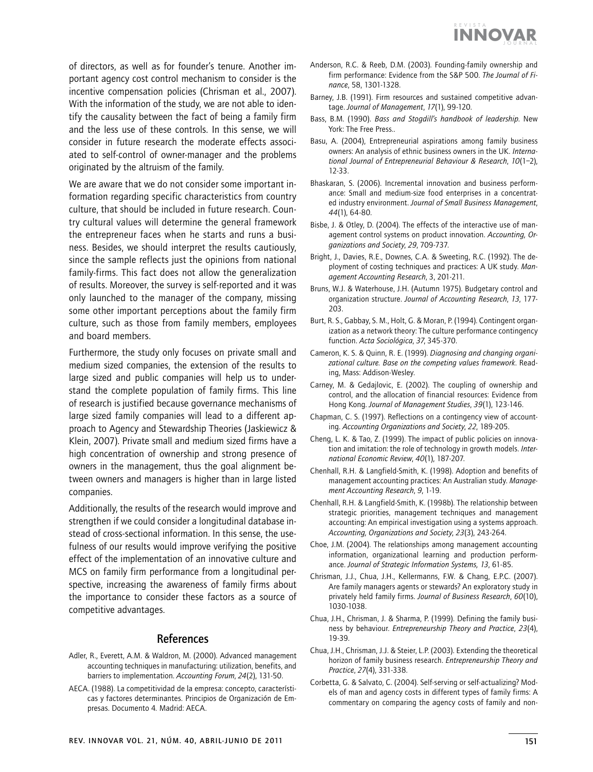of directors, as well as for founder's tenure. Another important agency cost control mechanism to consider is the incentive compensation policies (Chrisman et al., 2007). With the information of the study, we are not able to identify the causality between the fact of being a family firm and the less use of these controls. In this sense, we will consider in future research the moderate effects associated to self-control of owner-manager and the problems originated by the altruism of the family.

We are aware that we do not consider some important information regarding specific characteristics from country culture, that should be included in future research. Country cultural values will determine the general framework the entrepreneur faces when he starts and runs a business. Besides, we should interpret the results cautiously, since the sample reflects just the opinions from national family-firms. This fact does not allow the generalization of results. Moreover, the survey is self-reported and it was only launched to the manager of the company, missing some other important perceptions about the family firm culture, such as those from family members, employees and board members.

Furthermore, the study only focuses on private small and medium sized companies, the extension of the results to large sized and public companies will help us to understand the complete population of family firms. This line of research is justified because governance mechanisms of large sized family companies will lead to a different approach to Agency and Stewardship Theories (Jaskiewicz & Klein, 2007). Private small and medium sized firms have a high concentration of ownership and strong presence of owners in the management, thus the goal alignment between owners and managers is higher than in large listed companies.

Additionally, the results of the research would improve and strengthen if we could consider a longitudinal database instead of cross-sectional information. In this sense, the usefulness of our results would improve verifying the positive effect of the implementation of an innovative culture and MCS on family firm performance from a longitudinal perspective, increasing the awareness of family firms about the importance to consider these factors as a source of competitive advantages.

# References

- Adler, R., Everett, A.M. & Waldron, M. (2000). Advanced management accounting techniques in manufacturing: utilization, benefits, and barriers to implementation. *Accounting Forum*, *24*(2), 131-50.
- AECA. (1988). La competitividad de la empresa: concepto, características y factores determinantes. Principios de Organización de Empresas. Documento 4*.* Madrid: AECA.
- Anderson, R.C. & Reeb, D.M. (2003). Founding-family ownership and firm performance: Evidence from the S&P 500. *The Journal of Finance*, 58, 1301-1328.
- Barney, J.B. (1991). Firm resources and sustained competitive advantage. *Journal of Management*, *17*(1), 99-120.
- Bass, B.M. (1990). *Bass and Stogdill's handbook of leadership*. New York: The Free Press..
- Basu, A. (2004), Entrepreneurial aspirations among family business owners: An analysis of ethnic business owners in the UK. *International Journal of Entrepreneurial Behaviour & Research*, *10*(1–2), 12-33.
- Bhaskaran, S. (2006). Incremental innovation and business performance: Small and medium-size food enterprises in a concentrated industry environment. *Journal of Small Business Management*, *44*(1), 64-80.
- Bisbe, J. & Otley, D. (2004). The effects of the interactive use of management control systems on product innovation. *Accounting, Organizations and Society*, *29*, 709-737.
- Bright, J., Davies, R.E., Downes, C.A. & Sweeting, R.C. (1992). The deployment of costing techniques and practices: A UK study. *Management Accounting Research*, 3, 201-211.
- Bruns, W.J. & Waterhouse, J.H. (Autumn 1975). Budgetary control and organization structure. *Journal of Accounting Research*, *13*, 177- 203.
- Burt, R. S., Gabbay, S. M., Holt, G. & Moran, P. (1994). Contingent organization as a network theory: The culture performance contingency function. *Acta Sociológica*, *37*, 345-370.
- Cameron, K. S. & Quinn, R. E. (1999). *Diagnosing and changing organizational culture. Base on the competing values framework*. Reading, Mass: Addison-Wesley.
- Carney, M. & Gedajlovic, E. (2002). The coupling of ownership and control, and the allocation of financial resources: Evidence from Hong Kong. *Journal of Management Studies*, *39*(1), 123-146.
- Chapman, C. S. (1997). Reflections on a contingency view of accounting. *Accounting Organizations and Society*, *22*, 189-205.
- Cheng, L. K. & Tao, Z. (1999). The impact of public policies on innovation and imitation: the role of technology in growth models. *International Economic Review*, *40*(1), 187-207.
- Chenhall, R.H. & Langfield-Smith, K. (1998). Adoption and benefits of management accounting practices: An Australian study. *Management Accounting Research*, *9*, 1-19.
- Chenhall, R.H. & Langfield-Smith, K. (1998b). The relationship between strategic priorities, management techniques and management accounting: An empirical investigation using a systems approach. *Accounting, Organizations and Society*, *23*(3), 243-264.
- Choe, J.M. (2004). The relationships among management accounting information, organizational learning and production performance. *Journal of Strategic Information Systems, 13*, 61-85.
- Chrisman, J.J., Chua, J.H., Kellermanns, F.W. & Chang, E.P.C. (2007). Are family managers agents or stewards? An exploratory study in privately held family firms. *Journal of Business Research*, *60*(10), 1030-1038.
- Chua, J.H., Chrisman, J. & Sharma, P. (1999). Defining the family business by behaviour. *Entrepreneurship Theory and Practice*, *23*(4), 19-39.
- Chua, J.H., Chrisman, J.J. & Steier, L.P. (2003). Extending the theoretical horizon of family business research. *Entrepreneurship Theory and Practice*, *27*(4), 331-338.
- Corbetta, G. & Salvato, C. (2004). Self-serving or self-actualizing? Models of man and agency costs in different types of family firms: A commentary on comparing the agency costs of family and non-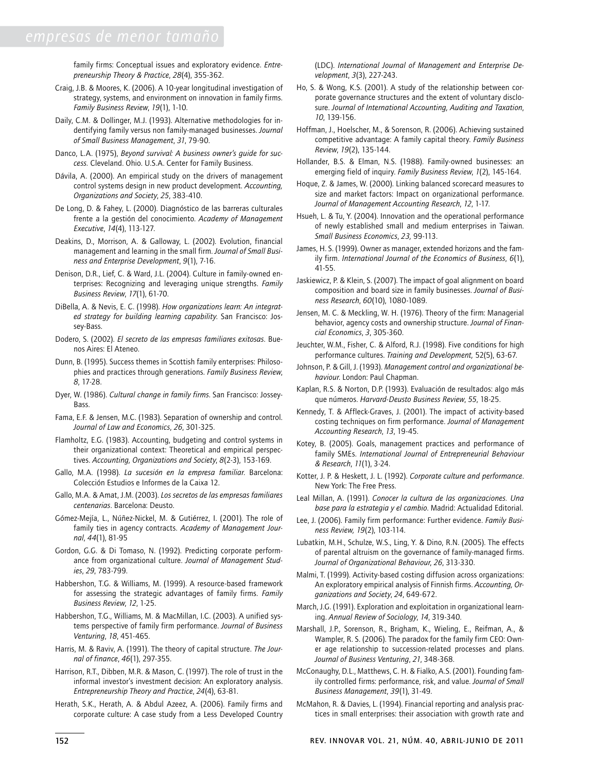family firms: Conceptual issues and exploratory evidence. *Entrepreneurship Theory & Practice*, *28*(4), 355-362.

- Craig, J.B. & Moores, K. (2006). A 10-year longitudinal investigation of strategy, systems, and environment on innovation in family firms. *Family Business Review*, *19*(1), 1-10.
- Daily, C.M. & Dollinger, M.J. (1993). Alternative methodologies for indentifying family versus non family-managed businesses. *Journal of Small Business Management*, *31*, 79-90.
- Danco, L.A. (1975), *Beyond survival: A business owner's guide for success.* Cleveland. Ohio. U.S.A. Center for Family Business.
- Dávila, A. (2000). An empirical study on the drivers of management control systems design in new product development. *Accounting, Organizations and Society*, *25*, 383-410.
- De Long, D. & Fahey, L. (2000). Diagnóstico de las barreras culturales frente a la gestión del conocimiento. *Academy of Management Executive*, *14*(4), 113-127.
- Deakins, D., Morrison, A. & Galloway, L. (2002). Evolution, financial management and learning in the small firm. *Journal of Small Business and Enterprise Development*, *9*(1), 7-16.
- Denison, D.R., Lief, C. & Ward, J.L. (2004). Culture in family-owned enterprises: Recognizing and leveraging unique strengths. *Family Business Review*, *17*(1), 61-70.
- DiBella, A. & Nevis, E. C. (1998). *How organizations learn: An integrated strategy for building learning capability*. San Francisco: Jossey-Bass.
- Dodero, S. (2002). *El secreto de las empresas familiares exitosas*. Buenos Aires: El Ateneo.
- Dunn, B. (1995). Success themes in Scottish family enterprises: Philosophies and practices through generations. *Family Business Review*, *8*, 17-28.
- Dyer, W. (1986). *Cultural change in family firms*. San Francisco: Jossey-**Bass**
- Fama, E.F. & Jensen, M.C. (1983). Separation of ownership and control. *Journal of Law and Economics*, *26*, 301-325.
- Flamholtz, E.G. (1983). Accounting, budgeting and control systems in their organizational context: Theoretical and empirical perspectives. *Accounting, Organizations and Society*, *8*(2-3), 153-169.
- Gallo, M.A. (1998). *La sucesión en la empresa familiar*. Barcelona: Colección Estudios e Informes de la Caixa 12.
- Gallo, M.A. & Amat, J.M. (2003). *Los secretos de las empresas familiares centenarias*. Barcelona: Deusto.
- Gómez-Mejía, L., Núñez-Nickel, M. & Gutiérrez, I. (2001). The role of family ties in agency contracts. *Academy of Management Journal*, *44*(1), 81-95
- Gordon, G.G. & Di Tomaso, N. (1992). Predicting corporate performance from organizational culture. *Journal of Management Studies*, *29*, 783-799.
- Habbershon, T.G. & Williams, M. (1999). A resource-based framework for assessing the strategic advantages of family firms. *Family Business Review*, *12*, 1-25.
- Habbershon, T.G., Williams, M. & MacMillan, I.C. (2003). A unified systems perspective of family firm performance. *Journal of Business Venturing*, *18*, 451-465.
- Harris, M. & Raviv, A. (1991). The theory of capital structure. *The Journal of finance*, *46*(1), 297-355.
- Harrison, R.T., Dibben, M.R. & Mason, C. (1997). The role of trust in the informal investor's investment decision: An exploratory analysis. *Entrepreneurship Theory and Practice*, *24*(4), 63-81.
- Herath, S.K., Herath, A. & Abdul Azeez, A. (2006). Family firms and corporate culture: A case study from a Less Developed Country

(LDC). *International Journal of Management and Enterprise Development*, *3*(3), 227-243.

- Ho, S. & Wong, K.S. (2001). A study of the relationship between corporate governance structures and the extent of voluntary disclosure. *Journal of International Accounting, Auditing and Taxation*, *10*, 139-156.
- Hoffman, J., Hoelscher, M., & Sorenson, R. (2006). Achieving sustained competitive advantage: A family capital theory. *Family Business Review*, *19*(2), 135-144.
- Hollander, B.S. & Elman, N.S. (1988). Family-owned businesses: an emerging field of inquiry. *Family Business Review*, *1*(2), 145-164.
- Hoque, Z. & James, W. (2000). Linking balanced scorecard measures to size and market factors: Impact on organizational performance. *Journal of Management Accounting Research*, *12*, 1-17.
- Hsueh, L. & Tu, Y. (2004). Innovation and the operational performance of newly established small and medium enterprises in Taiwan. *Small Business Economics*, *23,* 99-113.
- James, H. S. (1999). Owner as manager, extended horizons and the family firm. *International Journal of the Economics of Business*, *6*(1), 41-55.
- Jaskiewicz, P. & Klein, S. (2007). The impact of goal alignment on board composition and board size in family businesses. *Journal of Business Research*, *60*(10), 1080-1089.
- Jensen, M. C. & Meckling, W. H. (1976). Theory of the firm: Managerial behavior, agency costs and ownership structure. *Journal of Financial Economics*, *3*, 305-360.
- Jeuchter, W.M., Fisher, C. & Alford, R.J. (1998). Five conditions for high performance cultures. *Training and Development,* 52(5), 63-67.
- Johnson, P. & Gill, J. (1993). *Management control and organizational behaviour*. London: Paul Chapman.
- Kaplan, R.S. & Norton, D.P. (1993). Evaluación de resultados: algo más que números. *Harvard-Deusto Business Review*, *55*, 18-25.
- Kennedy, T. & Affleck-Graves, J. (2001). The impact of activity-based costing techniques on firm performance. *Journal of Management Accounting Research*, *13*, 19-45.
- Kotey, B. (2005). Goals, management practices and performance of family SMEs. *International Journal of Entrepreneurial Behaviour & Research*, *11*(1), 3-24.
- Kotter, J. P. & Heskett, J. L. (1992). *Corporate culture and performance*. New York: The Free Press.
- Leal Millan, A. (1991). *Conocer la cultura de las organizaciones. Una base para la estrategia y el cambio*. Madrid: Actualidad Editorial.
- Lee, J. (2006). Family firm performance: Further evidence. *Family Business Review, 19*(2), 103-114.
- Lubatkin, M.H., Schulze, W.S., Ling, Y. & Dino, R.N. (2005). The effects of parental altruism on the governance of family-managed firms. *Journal of Organizational Behaviour*, *26*, 313-330.
- Malmi, T. (1999). Activity-based costing diffusion across organizations: An exploratory empirical analysis of Finnish firms. *Accounting, Organizations and Society*, *24*, 649-672.
- March, J.G. (1991). Exploration and exploitation in organizational learning. *Annual Review of Sociology*, *14*, 319-340.
- Marshall, J.P., Sorenson, R., Brigham, K., Wieling, E., Reifman, A., & Wampler, R. S. (2006). The paradox for the family firm CEO: Owner age relationship to succession-related processes and plans. *Journal of Business Venturing*, *21*, 348-368.
- McConaughy, D.L., Matthews, C. H. & Fialko, A.S. (2001). Founding family controlled firms: performance, risk, and value. *Journal of Small Business Management*, *39*(1), 31-49.
- McMahon, R. & Davies, L. (1994). Financial reporting and analysis practices in small enterprises: their association with growth rate and